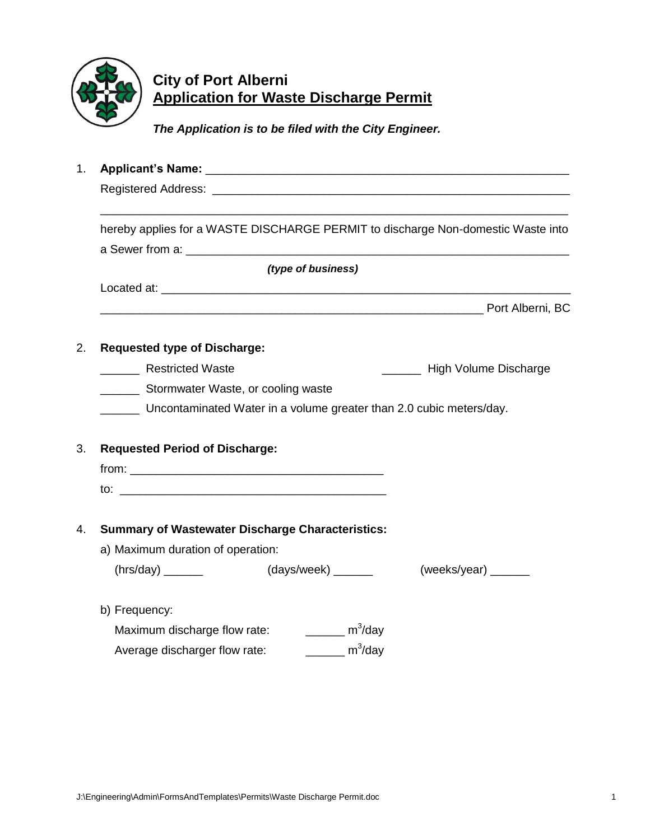

# **City of Port Alberni Application for Waste Discharge Permit**

*The Application is to be filed with the City Engineer.*

1. **Applicant's Name:** \_\_\_\_\_\_\_\_\_\_\_\_\_\_\_\_\_\_\_\_\_\_\_\_\_\_\_\_\_\_\_\_\_\_\_\_\_\_\_\_\_\_\_\_\_\_\_\_\_\_\_\_\_\_\_\_ Registered Address: \_\_\_\_\_\_\_\_\_\_\_\_\_\_\_\_\_\_\_\_\_\_\_\_\_\_\_\_\_\_\_\_\_\_\_\_\_\_\_\_\_\_\_\_\_\_\_\_\_\_\_\_\_\_\_ \_\_\_\_\_\_\_\_\_\_\_\_\_\_\_\_\_\_\_\_\_\_\_\_\_\_\_\_\_\_\_\_\_\_\_\_\_\_\_\_\_\_\_\_\_\_\_\_\_\_\_\_\_\_\_\_\_\_\_\_\_\_\_\_\_\_\_\_\_\_\_\_ hereby applies for a WASTE DISCHARGE PERMIT to discharge Non-domestic Waste into a Sewer from a: \_\_\_\_\_\_\_\_\_\_\_\_\_\_\_\_\_\_\_\_\_\_\_\_\_\_\_\_\_\_\_\_\_\_\_\_\_\_\_\_\_\_\_\_\_\_\_\_\_\_\_\_\_\_\_\_\_\_\_ *(type of business)* Located at:  $\blacksquare$ en and the proof Alberni, BC 2. **Requested type of Discharge:** Restricted Waste **Example 20** Restricted Waste \_\_\_\_\_\_ Stormwater Waste, or cooling waste \_\_\_\_\_\_ Uncontaminated Water in a volume greater than 2.0 cubic meters/day. 3. **Requested Period of Discharge:**  $from:$  $\mathsf{to}:$ 4. **Summary of Wastewater Discharge Characteristics:** a) Maximum duration of operation:  $(hrs/day)$  \_\_\_\_\_\_\_ (days/week) \_\_\_\_\_ (weeks/year) \_\_\_\_\_ b) Frequency: Maximum discharge flow rate:  $\frac{m^3}{day}$ Average discharger flow rate:  $\frac{m^3}{day}$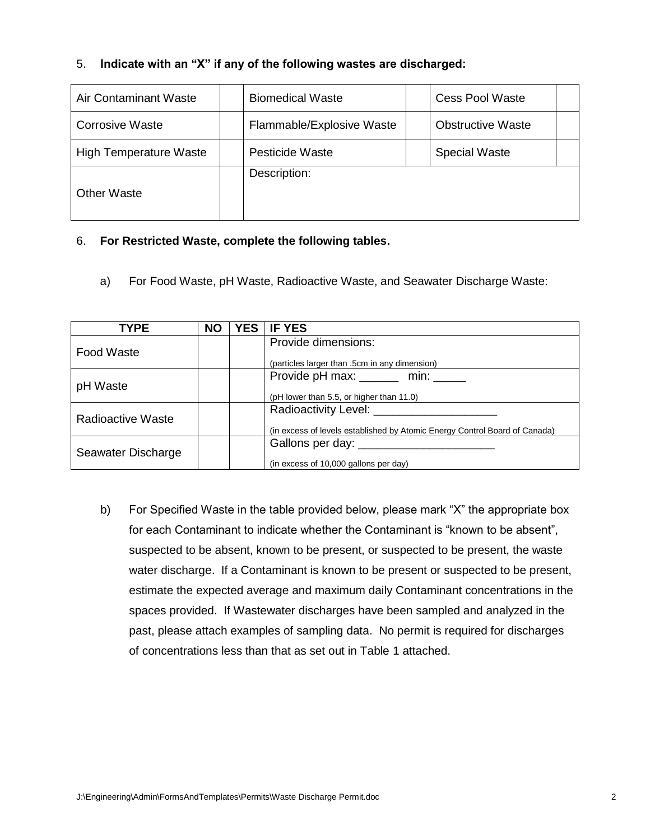## 5. **Indicate with an "X" if any of the following wastes are discharged:**

| <b>Air Contaminant Waste</b>  | <b>Biomedical Waste</b>   |  | <b>Cess Pool Waste</b>   |  |
|-------------------------------|---------------------------|--|--------------------------|--|
| <b>Corrosive Waste</b>        | Flammable/Explosive Waste |  | <b>Obstructive Waste</b> |  |
| <b>High Temperature Waste</b> | <b>Pesticide Waste</b>    |  | <b>Special Waste</b>     |  |
| <b>Other Waste</b>            | Description:              |  |                          |  |

## 6. **For Restricted Waste, complete the following tables.**

a) For Food Waste, pH Waste, Radioactive Waste, and Seawater Discharge Waste:

| <b>TYPE</b>        | <b>NO</b> | <b>YES</b> | <b>IF YES</b>                                                              |
|--------------------|-----------|------------|----------------------------------------------------------------------------|
| Food Waste         |           |            | Provide dimensions:                                                        |
|                    |           |            | (particles larger than .5cm in any dimension)                              |
|                    |           |            | Provide pH max: ______ min: _____                                          |
| pH Waste           |           |            | (pH lower than 5.5, or higher than 11.0)                                   |
| Radioactive Waste  |           |            |                                                                            |
|                    |           |            | (in excess of levels established by Atomic Energy Control Board of Canada) |
|                    |           |            | Gallons per day: _________                                                 |
| Seawater Discharge |           |            | (in excess of 10,000 gallons per day)                                      |

b) For Specified Waste in the table provided below, please mark "X" the appropriate box for each Contaminant to indicate whether the Contaminant is "known to be absent", suspected to be absent, known to be present, or suspected to be present, the waste water discharge. If a Contaminant is known to be present or suspected to be present, estimate the expected average and maximum daily Contaminant concentrations in the spaces provided. If Wastewater discharges have been sampled and analyzed in the past, please attach examples of sampling data. No permit is required for discharges of concentrations less than that as set out in Table 1 attached.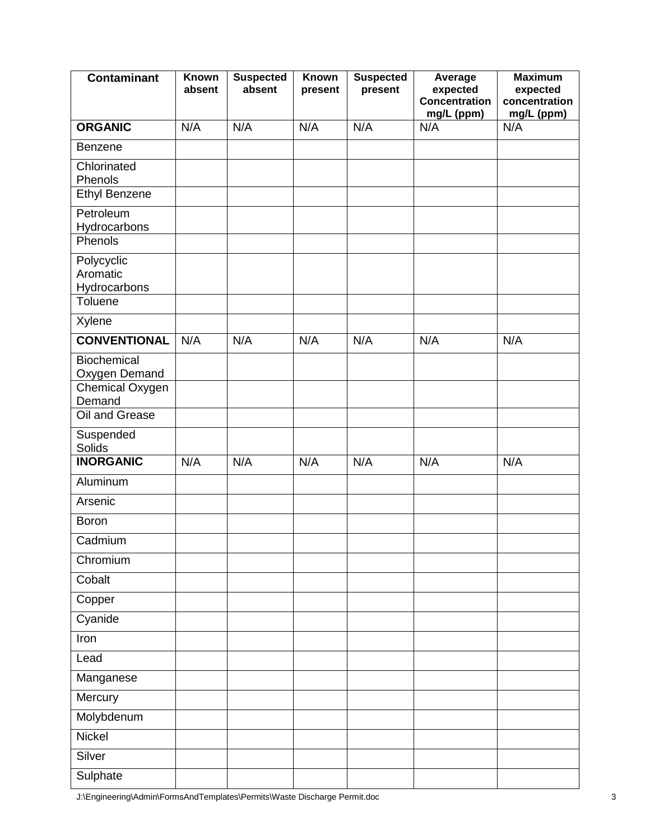| <b>Contaminant</b>                                | Known<br>absent | <b>Suspected</b><br>absent | <b>Known</b><br>present | <b>Suspected</b><br>present | Average<br>expected<br><b>Concentration</b><br>mg/L (ppm) | <b>Maximum</b><br>expected<br>concentration<br>mg/L (ppm) |
|---------------------------------------------------|-----------------|----------------------------|-------------------------|-----------------------------|-----------------------------------------------------------|-----------------------------------------------------------|
| <b>ORGANIC</b>                                    | N/A             | N/A                        | N/A                     | N/A                         | N/A                                                       | N/A                                                       |
| Benzene                                           |                 |                            |                         |                             |                                                           |                                                           |
| Chlorinated<br>Phenols                            |                 |                            |                         |                             |                                                           |                                                           |
| <b>Ethyl Benzene</b>                              |                 |                            |                         |                             |                                                           |                                                           |
| Petroleum<br>Hydrocarbons<br>Phenols              |                 |                            |                         |                             |                                                           |                                                           |
| Polycyclic<br>Aromatic<br>Hydrocarbons<br>Toluene |                 |                            |                         |                             |                                                           |                                                           |
| Xylene                                            |                 |                            |                         |                             |                                                           |                                                           |
| <b>CONVENTIONAL</b>                               | N/A             | N/A                        | N/A                     | N/A                         | N/A                                                       | N/A                                                       |
| Biochemical<br>Oxygen Demand<br>Chemical Oxygen   |                 |                            |                         |                             |                                                           |                                                           |
| Demand<br>Oil and Grease                          |                 |                            |                         |                             |                                                           |                                                           |
|                                                   |                 |                            |                         |                             |                                                           |                                                           |
| Suspended<br><b>Solids</b>                        |                 |                            |                         |                             |                                                           |                                                           |
| <b>INORGANIC</b>                                  | N/A             | N/A                        | N/A                     | N/A                         | N/A                                                       | N/A                                                       |
| Aluminum                                          |                 |                            |                         |                             |                                                           |                                                           |
| Arsenic                                           |                 |                            |                         |                             |                                                           |                                                           |
| <b>Boron</b>                                      |                 |                            |                         |                             |                                                           |                                                           |
| Cadmium                                           |                 |                            |                         |                             |                                                           |                                                           |
| Chromium                                          |                 |                            |                         |                             |                                                           |                                                           |
| Cobalt                                            |                 |                            |                         |                             |                                                           |                                                           |
| Copper                                            |                 |                            |                         |                             |                                                           |                                                           |
| Cyanide                                           |                 |                            |                         |                             |                                                           |                                                           |
| Iron                                              |                 |                            |                         |                             |                                                           |                                                           |
| Lead                                              |                 |                            |                         |                             |                                                           |                                                           |
| Manganese                                         |                 |                            |                         |                             |                                                           |                                                           |
| Mercury                                           |                 |                            |                         |                             |                                                           |                                                           |
| Molybdenum                                        |                 |                            |                         |                             |                                                           |                                                           |
| Nickel                                            |                 |                            |                         |                             |                                                           |                                                           |
| Silver                                            |                 |                            |                         |                             |                                                           |                                                           |
| Sulphate                                          |                 |                            |                         |                             |                                                           |                                                           |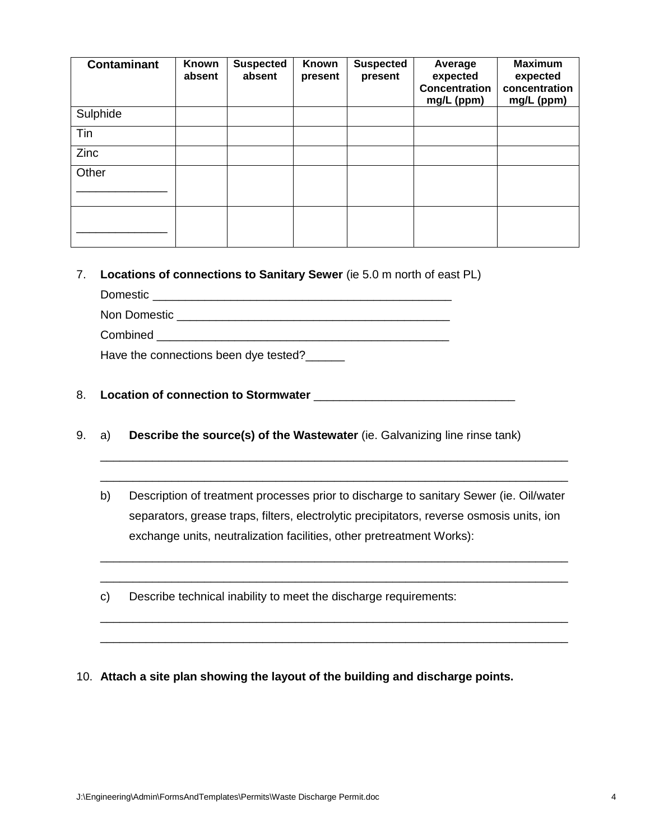| <b>Contaminant</b> | Known<br>absent | <b>Suspected</b><br>absent | Known<br>present | <b>Suspected</b><br>present | Average<br>expected<br><b>Concentration</b><br>mg/L (ppm) | <b>Maximum</b><br>expected<br>concentration<br>mg/L (ppm) |
|--------------------|-----------------|----------------------------|------------------|-----------------------------|-----------------------------------------------------------|-----------------------------------------------------------|
| Sulphide           |                 |                            |                  |                             |                                                           |                                                           |
| Tin                |                 |                            |                  |                             |                                                           |                                                           |
| Zinc               |                 |                            |                  |                             |                                                           |                                                           |
| Other              |                 |                            |                  |                             |                                                           |                                                           |
|                    |                 |                            |                  |                             |                                                           |                                                           |
|                    |                 |                            |                  |                             |                                                           |                                                           |

7. **Locations of connections to Sanitary Sewer** (ie 5.0 m north of east PL)

Domestic \_\_\_\_\_\_\_\_\_\_\_\_\_\_\_\_\_\_\_\_\_\_\_\_\_\_\_\_\_\_\_\_\_\_\_\_\_\_\_\_\_\_\_\_\_\_ Non Domestic \_\_\_\_\_\_\_\_\_\_\_\_\_\_\_\_\_\_\_\_\_\_\_\_\_\_\_\_\_\_\_\_\_\_\_\_\_\_\_\_\_\_ Combined

Have the connections been dye tested?

### 8. **Location of connection to Stormwater** \_\_\_\_\_\_\_\_\_\_\_\_\_\_\_\_\_\_\_\_\_\_\_\_\_\_\_\_\_\_\_

- 9. a) **Describe the source(s) of the Wastewater** (ie. Galvanizing line rinse tank)
	- b) Description of treatment processes prior to discharge to sanitary Sewer (ie. Oil/water separators, grease traps, filters, electrolytic precipitators, reverse osmosis units, ion exchange units, neutralization facilities, other pretreatment Works):

\_\_\_\_\_\_\_\_\_\_\_\_\_\_\_\_\_\_\_\_\_\_\_\_\_\_\_\_\_\_\_\_\_\_\_\_\_\_\_\_\_\_\_\_\_\_\_\_\_\_\_\_\_\_\_\_\_\_\_\_\_\_\_\_\_\_\_\_\_\_\_\_ \_\_\_\_\_\_\_\_\_\_\_\_\_\_\_\_\_\_\_\_\_\_\_\_\_\_\_\_\_\_\_\_\_\_\_\_\_\_\_\_\_\_\_\_\_\_\_\_\_\_\_\_\_\_\_\_\_\_\_\_\_\_\_\_\_\_\_\_\_\_\_\_

\_\_\_\_\_\_\_\_\_\_\_\_\_\_\_\_\_\_\_\_\_\_\_\_\_\_\_\_\_\_\_\_\_\_\_\_\_\_\_\_\_\_\_\_\_\_\_\_\_\_\_\_\_\_\_\_\_\_\_\_\_\_\_\_\_\_\_\_\_\_\_\_ \_\_\_\_\_\_\_\_\_\_\_\_\_\_\_\_\_\_\_\_\_\_\_\_\_\_\_\_\_\_\_\_\_\_\_\_\_\_\_\_\_\_\_\_\_\_\_\_\_\_\_\_\_\_\_\_\_\_\_\_\_\_\_\_\_\_\_\_\_\_\_\_

\_\_\_\_\_\_\_\_\_\_\_\_\_\_\_\_\_\_\_\_\_\_\_\_\_\_\_\_\_\_\_\_\_\_\_\_\_\_\_\_\_\_\_\_\_\_\_\_\_\_\_\_\_\_\_\_\_\_\_\_\_\_\_\_\_\_\_\_\_\_\_\_ \_\_\_\_\_\_\_\_\_\_\_\_\_\_\_\_\_\_\_\_\_\_\_\_\_\_\_\_\_\_\_\_\_\_\_\_\_\_\_\_\_\_\_\_\_\_\_\_\_\_\_\_\_\_\_\_\_\_\_\_\_\_\_\_\_\_\_\_\_\_\_\_

c) Describe technical inability to meet the discharge requirements:

### 10. **Attach a site plan showing the layout of the building and discharge points.**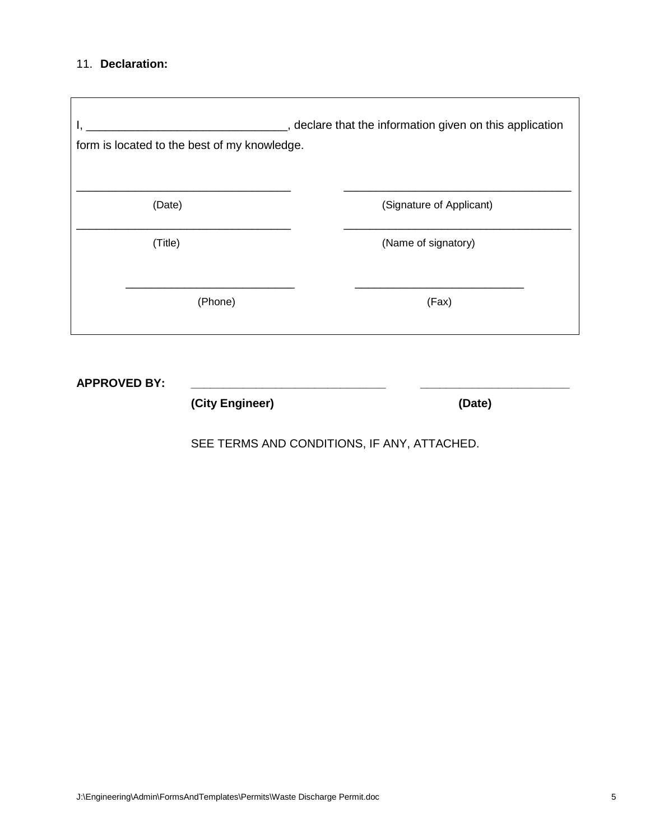### 11. **Declaration:**

 $\overline{\Gamma}$ 

| form is located to the best of my knowledge. | , declare that the information given on this application |
|----------------------------------------------|----------------------------------------------------------|
| (Date)                                       | (Signature of Applicant)                                 |
| (Title)                                      | (Name of signatory)                                      |
| (Phone)                                      | (Fax)                                                    |

**APPROVED BY: \_\_\_\_\_\_\_\_\_\_\_\_\_\_\_\_\_\_\_\_\_\_\_\_\_\_\_\_\_\_ \_\_\_\_\_\_\_\_\_\_\_\_\_\_\_\_\_\_\_\_\_\_\_**

**(City Engineer) (Date)**

SEE TERMS AND CONDITIONS, IF ANY, ATTACHED.